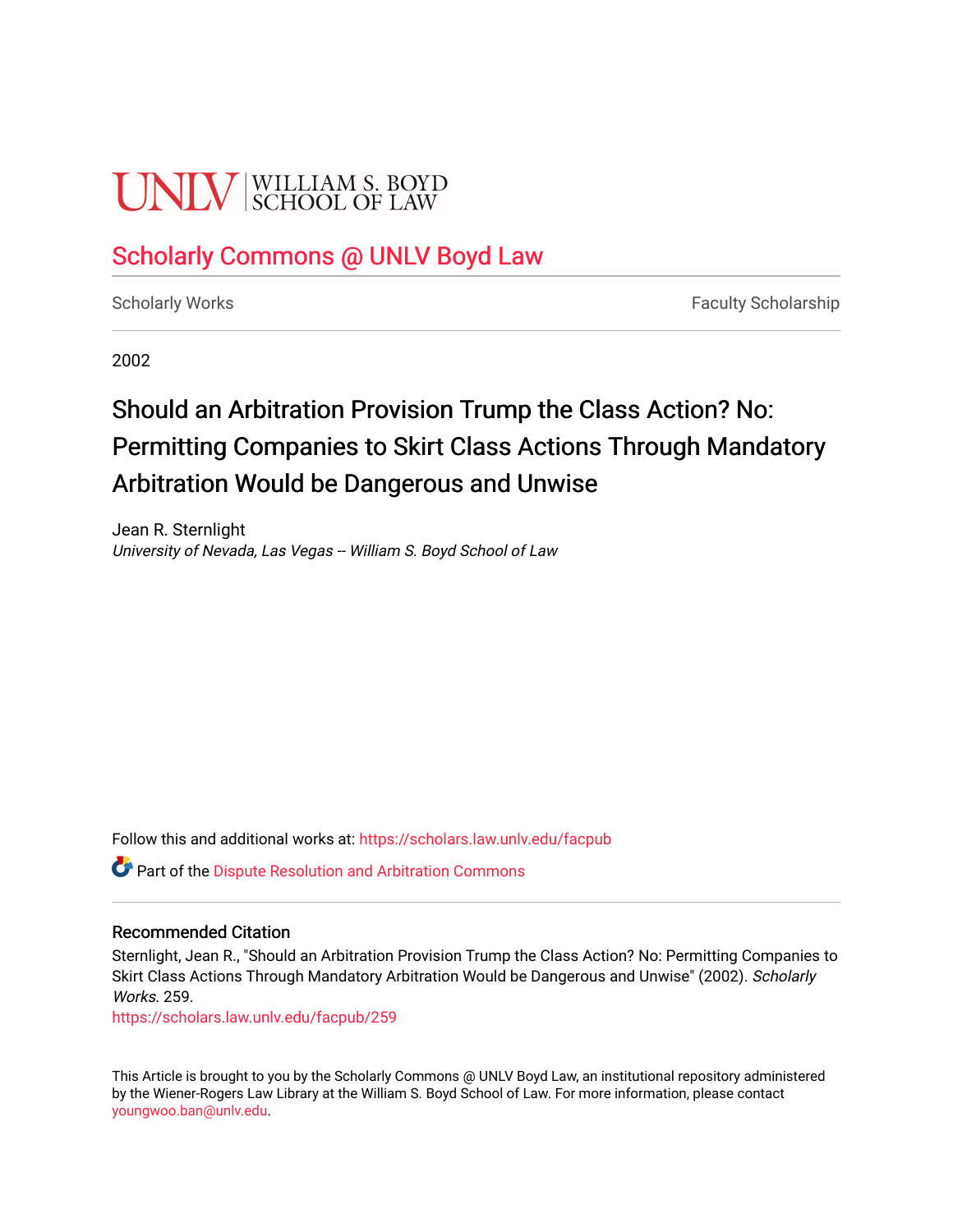# **UNIV** SCHOOL OF LAW

# [Scholarly Commons @ UNLV Boyd Law](https://scholars.law.unlv.edu/)

[Scholarly Works](https://scholars.law.unlv.edu/facpub) **Faculty Scholarship** Faculty Scholarship

2002

# Should an Arbitration Provision Trump the Class Action? No: Permitting Companies to Skirt Class Actions Through Mandatory Arbitration Would be Dangerous and Unwise

Jean R. Sternlight University of Nevada, Las Vegas -- William S. Boyd School of Law

Follow this and additional works at: [https://scholars.law.unlv.edu/facpub](https://scholars.law.unlv.edu/facpub?utm_source=scholars.law.unlv.edu%2Ffacpub%2F259&utm_medium=PDF&utm_campaign=PDFCoverPages)

**C**<sup> $\bullet$ </sup> Part of the Dispute Resolution and Arbitration Commons

#### Recommended Citation

Sternlight, Jean R., "Should an Arbitration Provision Trump the Class Action? No: Permitting Companies to Skirt Class Actions Through Mandatory Arbitration Would be Dangerous and Unwise" (2002). Scholarly Works. 259.

[https://scholars.law.unlv.edu/facpub/259](https://scholars.law.unlv.edu/facpub/259?utm_source=scholars.law.unlv.edu%2Ffacpub%2F259&utm_medium=PDF&utm_campaign=PDFCoverPages)

This Article is brought to you by the Scholarly Commons @ UNLV Boyd Law, an institutional repository administered by the Wiener-Rogers Law Library at the William S. Boyd School of Law. For more information, please contact [youngwoo.ban@unlv.edu.](mailto:youngwoo.ban@unlv.edu)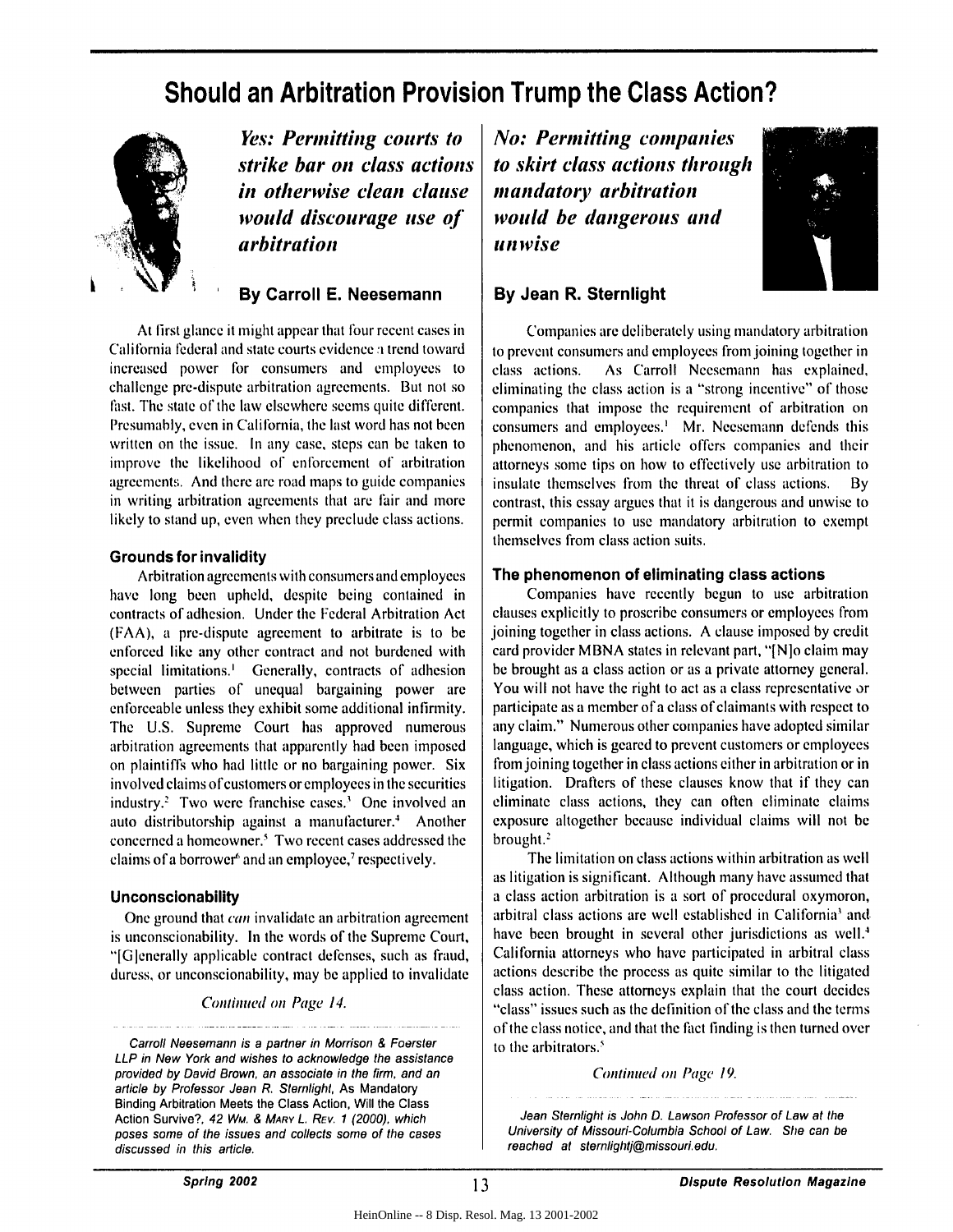# **Should an Arbitration Provision Trump the Class Action?**



**. ; Yes: Permitting courts to** *strike bar on class actions in otherwise clean clause would discourage use of* **4 arbitration**

**By Carroll E. Neesemann**

At first glance it might appear that four recent cases in California federal and state courts evidence *a* trend toward increased power for consumers and employees to challenge pre-dispute arbitration agreements. But not so fiast. The state of the law elsewhere seems quite different. Presumably, even in California, the last word has not been written on the issue. In any case, steps can be taken to improve the likelihood of enforcement of arbitration agreements. And there are road maps to guide companies in writing arbitration agreements that are fair and more likely to stand up, even when they preclude class actions.

#### **Grounds for invalidity**

Arbitration agreements with consumers and employees have long been upheld, despite being contained in contracts of adhesion. Under the Federal Arbitration Act (FAA), a pre-dispute agreement to arbitrate is to be enforced like any other contract and not burdened with special limitations.' Generally, contracts of adhesion between parties of unequal bargaining power are enforceable unless they exhibit some additional infirmity. The U.S. Supreme Court has approved numerous arbitration agreements that apparently had been imposed on plaintiffs who had little or no bargaining power. Six involved claims of customers or employees in the securities industry.' Two were franchise cases.' One involved an auto distributorship against a manufacturer.' Another concerned a homeowner.' Two recent cases addressed the claims of a borrower<sup>6</sup> and an employee,<sup>7</sup> respectively.

#### **Unconscionability**

One ground that can invalidate an arbitration agreement is unconscionability. In the words of the Supreme Court, "[Glenerally applicable contract defenses, such as fraud, duress, or unconscionability, may be applied to invalidate

Continued on Page 14.

*No: Permitting companies* **to** *skirt class actions through mandatory* **arbitration** *would be dangerous anid I nwis e*



#### **By Jean R. Sternlight**

Companies are deliberately using mandatory arbitration to prevent consumers and employces from joining together in class actions. As Carroll Neesemann has explained, eliminating the class action is a "strong incentive" of those companies that impose the requirement of arbitration on consumers and employees.<sup>1</sup> Mr. Neesemann defends this phenomenon, and his article offers companies and their attorneys some tips on how to effectively use arbitration to insulate themselves from the threat of class actions. By contrast, this essay argues that it is dangerous and unwise to permit companies to use mandatory arbitration to exempt themselves from class action suits.

#### **The phenomenon of eliminating class actions**

Companies have recently begun to use arbitration clauses explicitly to proscribe consumers or employees from joining together in class actions. A clause imposed by credit card provider MBNA states in relevant part, "[NIo claim may be brought as a class action or as a private attorney general. You will not have the right to act as a class representative or participate as a member of a class of claimants with respect to any claim." Numerous other companies have adopted similar language, which is geared to prevent customers or employees from joining together in class actions either in arbitration or in litigation. Drafters of these clauses know that if they can eliminate class actions, they can often eliminate claims exposure altogether because individual claims will not be brought.'

The limitation on class actions within arbitration as well as litigation is significant. Although many have assumed that a class action arbitration is a sort of procedural oxymoron, arbitral class actions are well established in California' and. have been brought in several other jurisdictions as well.<sup>4</sup> California attorneys who have participated in arbitral class actions describe the process as quite similar to the litigated class action. These attorneys explain that the court decides "class" issues such as the definition of the class and the terms of the class notice, and that the fact finding is then turned over to the arbitrators.'

#### *Continued* on Page 19.

Jean Stemlight is John D. Lawson Professor of Law at the University of Missouri-Columbia School of Law. She can be reached at stemlightj@missouri.edu.

Carroll Neesemann is a partner in Morrison & Foerster LLP in New York and wishes to acknowledge the assistance provided by David Brown, an associate in the firm, and an article by Professor Jean R. Stemlight, As Mandatory Binding Arbitration Meets the Class Action, Will the Class Action Survive?, 42 Wm. & MARY L. REV. **1** (2000), which poses some of the issues and collects some of the cases discussed in this article.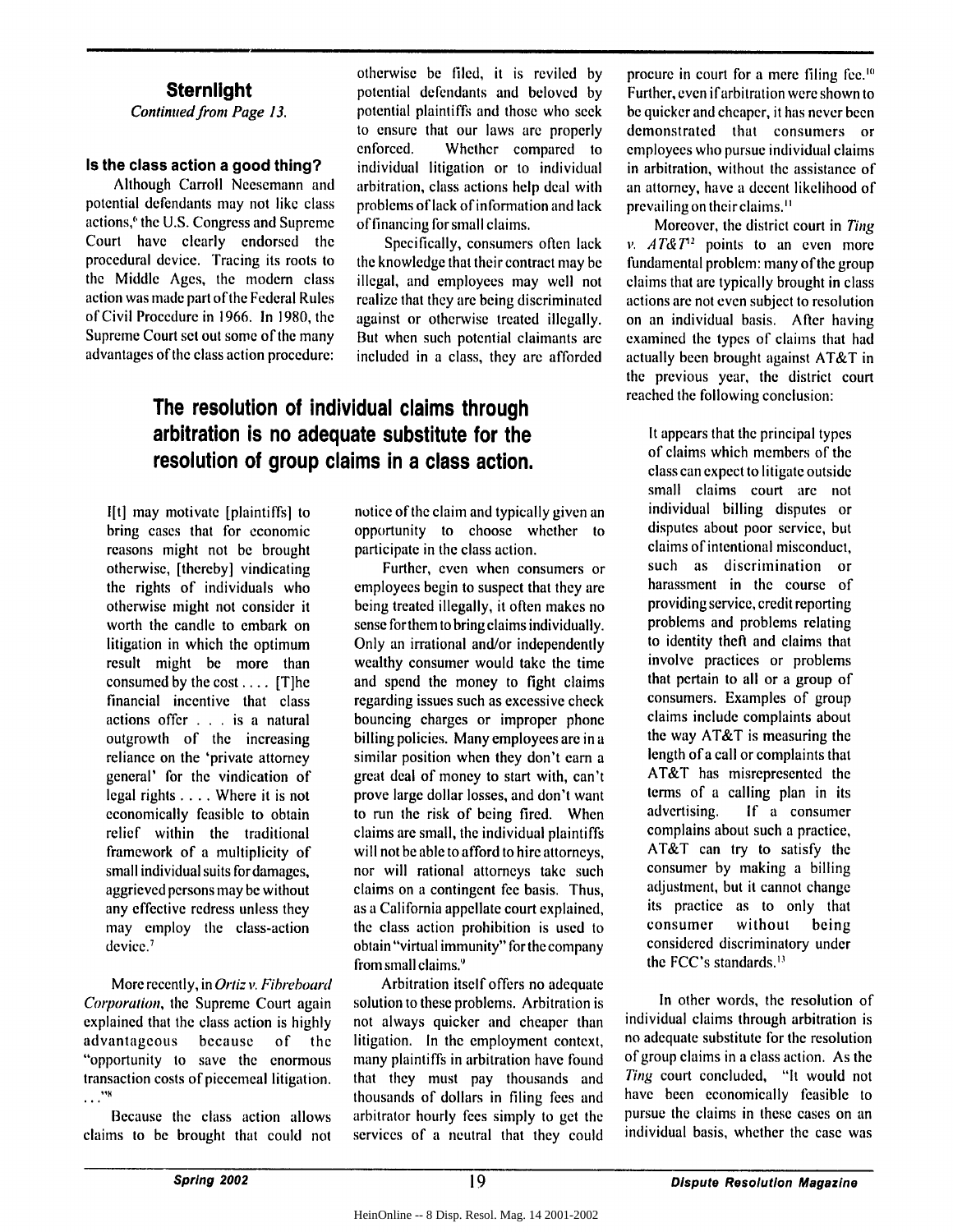#### **Sternlight**

Continued from Page **13.**

#### **Is the class action a good thing?**

Although Carroll Neesemann and potential defendants may not like class actions," the U.S. Congress and Supreme Court have clearly endorsed the procedural device. Tracing its roots to the Middle Ages, the modem class action was made part of the Federal Rules of Civil Procedure in 1966. In 1980, the Supreme Court set out some of the many advantages of the class action procedure: otherwise be filed, it is reviled by potential defendants and beloved by potential plaintiffs and those who seek to ensure that our laws are properly enforced. Whether compared to individual litigation or to individual arbitration, class actions help deal with problems of lack of information and lack of financing for small claims.

Specifically, consumers often lack the knowledge that their contract may be illegal, and employees may well not realize that they are being discriminated against or otherwise treated illegally. But when such potential claimants are included in a class, they are afforded

### The resolution of individual claims through arbitration is no adequate substitute for the resolution of group **cla** ims in a class action.

I[t] may motivate [plaintiffs] to bring cases that for economic reasons might not be brought otherwise, [thereby] vindicating the rights of individuals who otherwise might not consider it worth the candle to embark on litigation in which the optimum result might be more than consumed by the cost .... [T]he financial incentive that class actions offer . . . is a natural outgrowth of the increasing reliance on the 'private attorney general' for the vindication of legal rights .... Where it is not economically feasible to obtain relief within the traditional framework of a multiplicity of small individual suits for damages, aggrieved persons may be without any effective redress unless they may employ the class-action device.<sup>7</sup>

More recently, in Ortiz v. Fibreboard Corporation, the Supreme Court again explained that the class action is highly advantageous because of the "opportunity to save the enormous transaction costs of piecemeal litigation.<br>..."\*

Because the class action allows claims to be brought that could not notice of the claim and typically given an opportunity to choose whether to participate in the class action.

Further, even when consumers or employees begin to suspect that they are being treated illegally, it often makes no sense forthem to bring claims individually. Only an irrational and/or independently wealthy consumer would take the time and spend the money to fight claims regarding issues such as excessive check bouncing charges or improper phone billing policies. Many employees are in a similar position when they don't cam a great deal of money to start with, can't prove large dollar losses, and don't want to run the risk of being fired. When claims are small, the individual plaintiffs will not be able to afford to hire attorneys, nor will rational attorneys take such claims on a contingent fee basis. Thus, as a California appellate court explained, the class action prohibition is used to obtain "virtual immunity" for the company from small claims."

Arbitration itself offers no adequate solution to these problems. Arbitration is not always quicker and cheaper than litigation. In the employment context, many plaintiffs in arbitration have found that they must pay thousands and thousands of dollars in filing fees and arbitrator hourly fees simply to get the services of a neutral that they could

procure in court for a mere filing fee." Further, even ifarbitration were shown to be quicker and cheaper, it has never been demonstrated that consumers or employees who pursue individual claims in arbitration, without the assistance of an attorney, have a decent likelihood of prevailing on theirclaims."

**I**

Moreover, the district court in *Ting v.*  $AT\&T^2$  points to an even more fundamental problem: many of the group claims that are typically brought in class actions are not even subject to resolution on an individual basis. After having examined the types of claims that had actually been brought against AT&T in the previous year, the district court reached the following conclusion:

It appears that the principal types of claims which members of the class can expect to litigate outside small claims court are not individual billing disputes or disputes about poor service, but claims of intentional misconduct, such as discrimination or harassment in the course of providing service, credit reporting problems and problems relating to identity theft and claims that involve practices or problems that pertain to all or a group of consumers. Examples of group claims include complaints about the way AT&T is measuring the length of a call or complaints that AT&T has misrepresented the terms of a calling plan in its advertising. **If** a consumer complains about such a practice, AT&T can try to satisfy the consumer by making a billing adjustment, but it cannot change its practice as to only that consumer without being considered discriminatory under the FCC's standards. $<sup>13</sup>$ </sup>

In other words, the resolution of individual claims through arbitration is no adequate substitute for the resolution of group claims in a class action. As the *Ting* court concluded, "It would not have been economically feasible to pursue the claims in these cases on an individual basis, whether the case was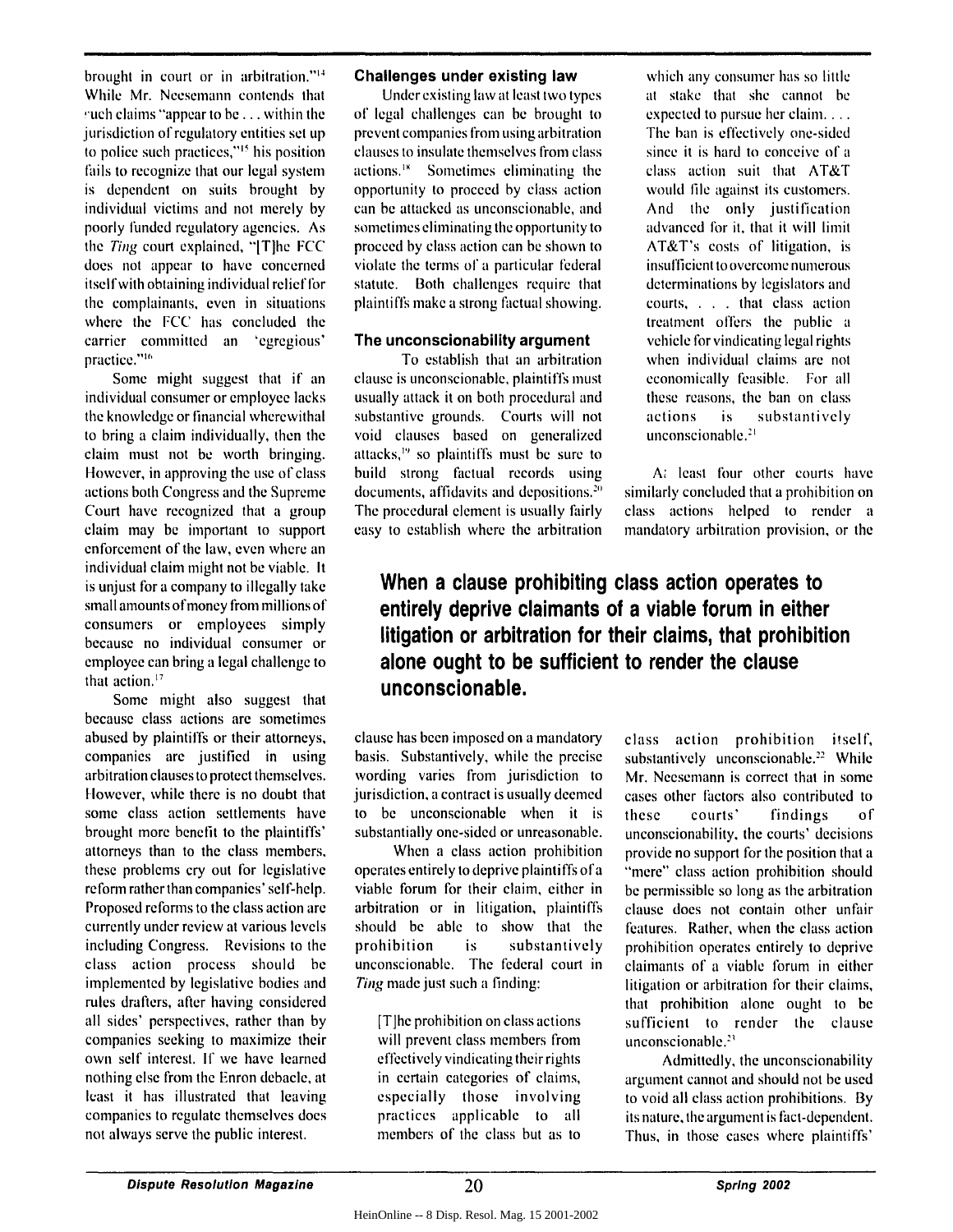brought in court or in arbitration."<sup>14</sup> While Mr. Neesemann contends that  $\mu$ uch claims "appear to be ... within the jurisdiction of regulatory entities set up to police such practices,"<sup>15</sup> his position fails to recognize that our legal system is dependent on suits brought by individual victims and not merely by poorly funded regulatory agencies. As the Ting court explained, "ITIhe FCC does not appear to have concerned itselfwith obtaining individual relieffor the complainants, even in situations where the FCC has concluded the carrier committed an 'egregious' practice."<sup>16</sup>

Some might suggest that if an individual consumer or employee lacks the knowledge or financial wherewithal to bring a claim individually, then the claim must not be worth bringing. However, in approving the use of class actions both Congress and the Supreme Court have recognized that a group claim may be important to support enforcement of the law, even where an individual claim might not be viable. It is unjust for a company to illegally lake small amounts of money from millions of consumers or employees simply because no individual consumer or employee can bring a legal challenge to that action.<sup>17</sup>

Some might also suggest that because class actions are sometimes abused by plaintiffs or their attorneys, companies are justified in using arbitration clauses to protect themselves. However, while there is no doubt that some class action settlements have brought more benefit to the plaintiffs' attorneys than to the class members, these problems cry out for legislative reform rather than companies' self-help. Proposed reforms to the class action are currently under review at various levels including Congress. Revisions to the class action process should be implemented by legislative bodies and rules drafters, after having considered all sides' perspectives, rather than by companies seeking to maximize their own self interest. If we have learned nothing else from the Enron debacle, at least it has illustrated that leaving companies to regulate themselves does not always serve the public interest.

#### **Challenges under existing law**

Under existing law at least two types of legal challenges can be brought to prevent companies from using arbitration clauses to insulate themselves from class actions.'" Sometimes eliminating the opportunity to proceed by class action can be attacked as unconscionable, and sometimes eliminating the opportunity to proceed by class action can be shown to violate the terms of a particular federal statute. Both challenges require that plaintiffs make a strong factual showing.

#### **The unconscionability argument**

To establish that an arbitration clause is unconscionable, plaintiffs must usually attack it on both procedural and substantive grounds. Courts will not void clauses based on generalized attacks, $\frac{1}{2}$  so plaintiffs must be sure to build strong factual records using documents, affidavits and depositions." The procedural element is usually fairly easy to establish where the arbitration

which any consumer has so little at stake that she cannot **be** expected to pursue her claim. . . . *The* ban is effectively one-sided since it is hard to conceive of a class action suit that AT&T would file against its customers. And the only justification advanced for it, that it will limit AT&T's costs of litigation, is insufficient to overcome numerous determinations by legislators and courts, . . that class action treatment offers the public a vehicle for vindicating legal rights when individual claims are not economically feasible. For all these reasons, the ban on class actions is substantively unconscionable.'

A: least four other courts have similarly concluded that a prohibition on class actions helped to render a mandatory arbitration provision, or the

## When a clause prohibiting class action operates to entirely deprive claimants of a viable forum in either litigation or arbitration for their claims, that prohibition alone ought to be sufficient to render the clause unconscionable.

clause has been imposed on a mandatory basis. Substantively, while the precise wording varies from jurisdiction to jurisdiction, a contract is usually deemed to be unconscionable when it is substantially one-sided or unreasonable.

When a class action prohibition operates entirely to deprive plaintiffs of a viable forum for their claim, either in arbitration or in litigation, plaintiffs should be able to show that the prohibition is substantively unconscionable. The federal court in Ting made just such a finding:

[T]he prohibition on class actions will prevent class members from effectively vindicating their rights in certain categories of claims, especially those involving practices applicable to all members of the class but as to

class action prohibition itself, substantively unconscionable.<sup>22</sup> While Mr. Neesemann is correct that in some cases other factors also contributed to these courts' findings of unconscionability, the courts' decisions provide no support for the position that a "mere" class action prohibition should be permissible so long as the arbitration clause does not contain other unfair features. Rather, when the class action prohibition operates entirely to deprive claimants of a viable forum in either litigation or arbitration for their claims, that prohibition alone ought to be sufficient to render the clause unconscionable.<sup>23</sup>

Admittedly, the unconscionability argument cannot and should not be used to void all class action prohibitions. By its nature, the argument is fict-dependent. Thus, in those cases where plaintiffs'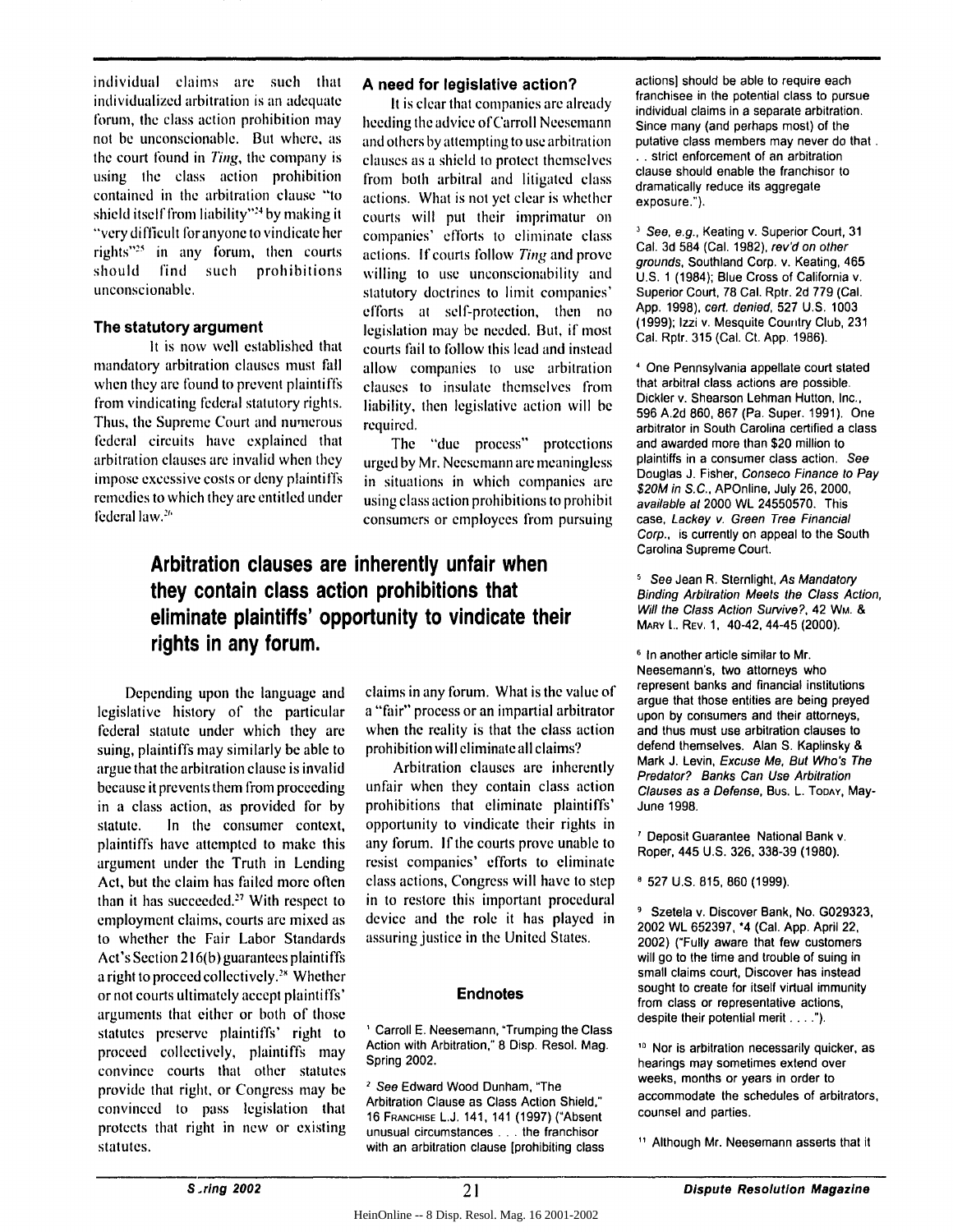individual claims are such that individualized arbitration is an adequate forum, the class action prohibition may not be unconscionable. But where, as the court found in Ting, the company is using the class action prohibition contained in the arbitration clause "to shield itself from liability"<sup>24</sup> by making it "very difficult for anyone to vindicate her rights"25 in any forum, then courts should find such prohibitions unconscionable.

#### **The statutory argument**

It is now well established that mandatory arbitration clauses must fall when they are found to prevent plaintiffs from vindicating federal statutory rights. Thus, the Supreme Court and numerous federal circuits have explained that arbitration clauses are invalid when they impose excessive costs or deny plaintiffs remedies to which they are entitled under federal law.<sup>26</sup>

#### **A need for legislative action?**

**It** is clear that companies are already heeding the advice ofCarroll Neesemann and others by attempting to use arbitration clauses as a shield to protect themselves from both arbitral and litigated class actions. What is not yet clear is whether courts will put their imprimatur on companies' efforts to eliminate class actions. If courts follow Ting and prove willing to use unconscionability and statutory doctrines to limit companies' efforts at sell-protection, then no legislation may be needed. But, if most courts fail to follow this lead and instead allow companies to use arbitration clauses to insulate themselves from liability, then legislative action will be required.

The "due process" protections urged by Mr. Neesemann are meaningless in situations in which companies are using class action prohibitions to prohibit consumers or employees from pursuing

## rights in any forum. Arbitration clauses are inherently unfair when they contain class action prohibitions that eliminate plaintiffs' opportunity to vindicate their

Depending upon the language and legislative history of the particular federal statute under which they are suing, plaintiffs may similarly be able to argue that the arbitration clause is invalid because it prevents them from proceeding in a class action, as provided for by statute. In the consumer context, plaintiffs have attempted to make this argument under the Truth in Lending Act, but the claim has failed more often than it has succeeded.<sup>27</sup> With respect to employment claims, courts are mixed as to whether the Fair Labor Standards Act's Section 216(b) guarantees plaintiffs a right to proceed collectively.<sup>28</sup> Whether or not courts ultimately accept plaintiffs' arguments that either or both of those statutes preserve plaintiffs' right to proceed collectively, plaintiffs may convince courts that other statutes provide that right, or Congress may be convinced to pass legislation that protects that right in new or existing statutes.

claims in any forum. What is the value of a "fair" process or an impartial arbitrator when the reality is that the class action prohibition will eliminate all claims?

Arbitration clauses are inherently unfair when they contain class action prohibitions that eliminate plaintiffs' opportunity to vindicate their rights in any forum. **If** the courts prove unable to resist companies' efforts to eliminate class actions, Congress will have to step in to restore this important procedural device and the role it has played in assuring justice in the United States.

#### **Endnotes**

Carroll **E.** Neesemann, "Trumping the Class Action with Arbitration," **8** Disp. Resol. Mag. Spring 2002.

*2* See Edward Wood Dunham, "The Arbitration Clause as Class Action Shield," **16 FRANCHISE L.J.** 141, 141 **(1997)** ("Absent unusual circumstances **...** the franchisor with an arbitration clause [prohibiting class actions) should be able to require each franchisee in the potential class to pursue individual claims in a separate arbitration. Since many (and perhaps most) of the putative class members may never do that. **.** strict enforcement of an arbitration clause should enable the franchisor to dramatically reduce its aggregate exposure.").

<sup>3</sup> See, e.g., Keating v. Superior Court, 31 Cal. 3d 584 (Cal. 1982), rev'd on other grounds, Southland Corp. v. Keating, 465 U.S. 1 (1984); Blue Cross of California v. Superior Court, 78 Cal. Rptr. 2d 779 (Cal. App. **1998),** *cert.* denied, 527 U.S. 1003 (1999); Izzi v. Mesquite Couitry Club, 231 Cal. Rptr. 315 (Cal. Ct. App. 1986).

<sup>4</sup>One Pennsylvania appellate court stated that arbitral class actions are possible. Dickler v. Shearson Lehman Hutton, Inc., 596 A.2d 860, 867 (Pa. Super. 1991). One arbitrator in South Carolina certified a class and awarded more than \$20 million to plaintiffs in a consumer class action. See Douglas J. Fisher, Conseco Finance to Pay \$20M in S.C., APOnline, July 26, 2000, available at 2000 WL 24550570. This case, Lackey v. Green Tree Financial Corp., is currently on appeal to the South Carolina Supreme Court.

<sup>5</sup> See Jean R. Sternlight, As Mandatory Binding Arbitration Meets the Class Action, Will the Class Action Survive?, 42 WM. & MARY L.. REV. **1,** 40-42, 44-45 (2000).

**6** In another article similar to Mr. Neesemann's, two attorneys who represent banks and financial institutions argue that those entities are being preyed upon **by** consumers and their attorneys, and thus must use arbitration clauses to defend themselves. Alan **S.** Kaplinsky **&** Mark **J.** Levin, Excuse Me, But Who's The Predator? Banks Can Use Arbitration Clauses as a Defense, Bus. L. ToDAY, May-June **1998.**

**1** Deposit Guarantee National Bank v. Roper, 445 **U.S. 326, 338-39 (1980).**

**527** U.S. 815, 860 **(1999).**

<sup>9</sup> Szetela v. Discover Bank, No. G029323, 2002 WL 652397, \*4 (Cal. App. April 22, 2002) ("Fully aware that few customers will go to the time and trouble of suing in small claims court, Discover has instead sought to create for itself virtual immunity from class or representative actions, despite their potential merit **....").**

<sup>10</sup> Nor is arbitration necessarily quicker, as hearings may sometimes extend over weeks, months or years in order to accommodate the schedules of arbitrators, counsel and parties.

**11** Although Mr. Neesemann asserts that it